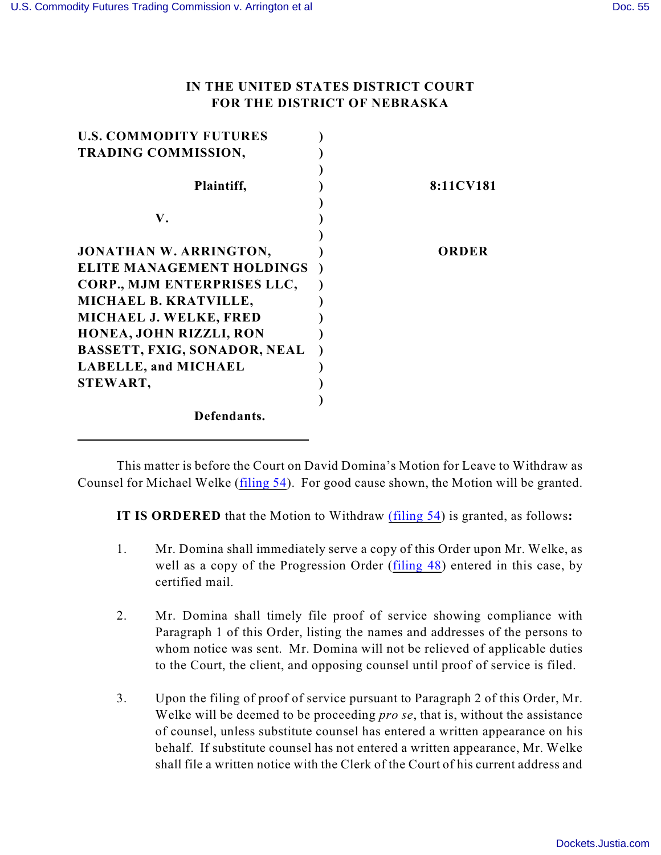## **IN THE UNITED STATES DISTRICT COURT FOR THE DISTRICT OF NEBRASKA**

| <b>U.S. COMMODITY FUTURES</b>       |           |
|-------------------------------------|-----------|
| <b>TRADING COMMISSION,</b>          |           |
|                                     |           |
| Plaintiff,                          | 8:11CV181 |
|                                     |           |
| V.                                  |           |
|                                     |           |
| <b>JONATHAN W. ARRINGTON,</b>       | ORDER     |
| <b>ELITE MANAGEMENT HOLDINGS</b>    |           |
| CORP., MJM ENTERPRISES LLC,         |           |
| MICHAEL B. KRATVILLE,               |           |
| MICHAEL J. WELKE, FRED              |           |
| HONEA, JOHN RIZZLI, RON             |           |
| <b>BASSETT, FXIG, SONADOR, NEAL</b> |           |
| LABELLE, and MICHAEL                |           |
| STEWART,                            |           |
|                                     |           |
| Defendants.                         |           |
|                                     |           |

This matter is before the Court on David Domina's Motion for Leave to Withdraw as Counsel for Michael Welke [\(filing 54](file:///|//54)). For good cause shown, the Motion will be granted.

**IT IS ORDERED** that the Motion to Withdraw [\(filing 54](file:///|//54)) is granted, as follows**:**

- 1. Mr. Domina shall immediately serve a copy of this Order upon Mr. Welke, as well as a copy of the Progression Order [\(filing 48](file:///|//48%20)) entered in this case, by certified mail.
- 2. Mr. Domina shall timely file proof of service showing compliance with Paragraph 1 of this Order, listing the names and addresses of the persons to whom notice was sent. Mr. Domina will not be relieved of applicable duties to the Court, the client, and opposing counsel until proof of service is filed.
- 3. Upon the filing of proof of service pursuant to Paragraph 2 of this Order, Mr. Welke will be deemed to be proceeding *pro se*, that is, without the assistance of counsel, unless substitute counsel has entered a written appearance on his behalf. If substitute counsel has not entered a written appearance, Mr. Welke shall file a written notice with the Clerk of the Court of his current address and